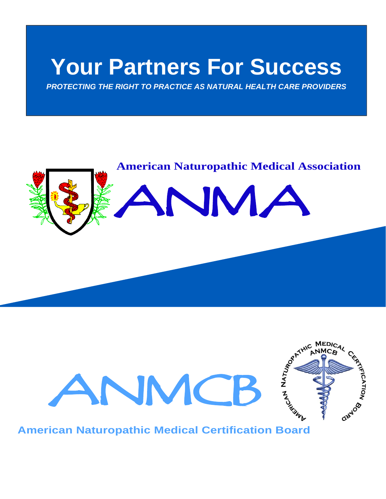# **Your Partners For Success**

*PROTECTING THE RIGHT TO PRACTICE AS NATURAL HEALTH CARE PROVIDERS* 

# **American Naturopathic Medical Association** ANMA



**American Naturopathic Medical Certification Board**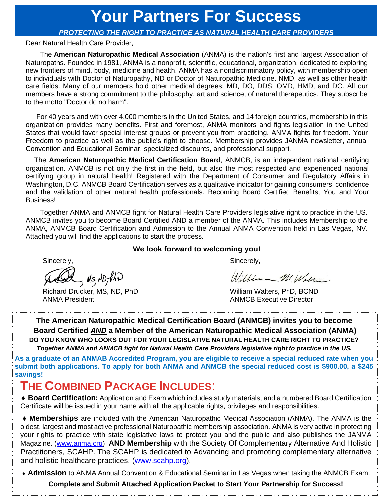## **Your Partners For Success**

#### *PROTECTING THE RIGHT TO PRACTICE AS NATURAL HEALTH CARE PROVIDERS*

Dear Natural Health Care Provider,

The **American Naturopathic Medical Association** (ANMA) is the nation's first and largest Association of Naturopaths. Founded in 1981, ANMA is a nonprofit, scientific, educational, organization, dedicated to exploring new frontiers of mind, body, medicine and health. ANMA has a nondiscriminatory policy, with membership open to individuals with Doctor of Naturopathy, ND or Doctor of Naturopathic Medicine. NMD, as well as other health care fields. Many of our members hold other medical degrees: MD, DO, DDS, OMD, HMD, and DC. All our members have a strong commitment to the philosophy, art and science, of natural therapeutics. They subscribe to the motto "Doctor do no harm".

 For 40 years and with over 4,000 members in the United States, and 14 foreign countries, membership in this organization provides many benefits. First and foremost, ANMA monitors and fights legislation in the United States that would favor special interest groups or prevent you from practicing. ANMA fights for freedom. Your Freedom to practice as well as the public's right to choose. Membership provides JANMA newsletter, annual Convention and Educational Seminar, specialized discounts, and professional support.

The **American Naturopathic Medical Certification Board**, ANMCB, is an independent national certifying organization. ANMCB is not only the first in the field, but also the most respected and experienced national certifying group in natural health! Registered with the Department of Consumer and Regulatory Affairs in Washington, D.C. ANMCB Board Certification serves as a qualitative indicator for gaining consumers' confidence and the validation of other natural health professionals. Becoming Board Certified Benefits, You and Your Business!

Together ANMA and ANMCB fight for Natural Health Care Providers legislative right to practice in the US. ANMCB invites you to become Board Certified AND a member of the ANMA. This includes Membership to the ANMA, ANMCB Board Certification and Admission to the Annual ANMA Convention held in Las Vegas, NV. Attached you will find the applications to start the process.

#### **We look forward to welcoming you!**

DA, MS, ND, PhD

Richard Drucker, MS, ND, PhD William Walters, PhD, BCND ANMA President **ANMCB** Executive Director

Sincerely, Sincerely, Sincerely, Sincerely, Sincerely, Sincerely, Sincerely, Sincerely, Sincerely, Sincerely, Sincerely, Sincerely, Sincerely, Sincerely, Sincerely, Sincerely, Sincerely, Sincerely, Sincerely, Sincerely, Si

William MW Watt

**The American Naturopathic Medical Certification Board (ANMCB) invites you to become Board Certified** *AND* **a Member of the American Naturopathic Medical Association (ANMA) DO YOU KNOW WHO LOOKS OUT FOR YOUR LEGISLATIVE NATURAL HEALTH CARE RIGHT TO PRACTICE?** *Together ANMA and ANMCB fight for Natural Health Care Providers legislative right to practice in the US.*

**As a graduate of an ANMAB Accredited Program, you are eligible to receive a special reduced rate when you submit both applications. To apply for both ANMA and ANMCB the special reduced cost is \$900.00, a \$245 savings!** 

## **THE COMBINED PACKAGE INCLUDES**:

 **Board Certification:** Application and Exam which includes study materials, and a numbered Board Certification Certificate will be issued in your name with all the applicable rights, privileges and responsibilities.

 **Memberships** are included with the American Naturopathic Medical Association (ANMA). The ANMA is the oldest, largest and most active professional Naturopathic membership association. ANMA is very active in protecting your rights to practice with state legislative laws to protect you and the public and also publishes the JANMA Magazine. [\(www.anma.org\)](http://www.anma.org/) **AND Membership** with the Society Of Complementary Alternative And Holistic Practitioners, SCAHP. The SCAHP is dedicated to Advancing and promoting complementary alternative and holistic healthcare practices. [\(www.scahp.org\)](http://www.scahp.org/).

**Admission** to ANMA Annual Convention & Educational Seminar in Las Vegas when taking the ANMCB Exam.

**Complete and Submit Attached Application Packet to Start Your Partnership for Success!**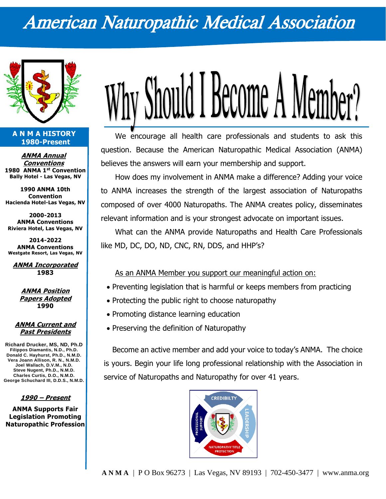# American Naturopathic Medical Association



#### **A N M A HISTORY 1980-Present**

**ANMA Annual Conventions 1980 ANMA 1st Convention Bally Hotel - Las Vegas, NV**

**1990 ANMA 10th Convention Hacienda Hotel-Las Vegas, NV**

**2000-2013 ANMA Conventions Riviera Hotel, Las Vegas, NV**

**2014-2022 ANMA Conventions Westgate Resort, Las Vegas, NV**

**ANMA Incorporated 1983**

> **ANMA Position Papers Adopted 1990**

#### **ANMA Current and Past Presidents**

**Richard Drucker, MS, ND, Ph.D Filippos Diamantis, N.D., Ph.D. Donald C. Hayhurst, Ph.D., N.M.D. Vera Joann Allison, R. N., N.M.D. Joel Wallach, D.V.M., N.D. Steve Nugent, Ph.D., N.M.D. Charles Curtis, D.O., N.M.D. George Schuchard III, D.D.S., N.M.D.**

**1990 – Present**

**ANMA Supports Fair Legislation Promoting Naturopathic Profession**



We encourage all health care professionals and students to ask this question. Because the American Naturopathic Medical Association (ANMA) believes the answers will earn your membership and support.

How does my involvement in ANMA make a difference? Adding your voice to ANMA increases the strength of the largest association of Naturopaths composed of over 4000 Naturopaths. The ANMA creates policy, disseminates relevant information and is your strongest advocate on important issues.

What can the ANMA provide Naturopaths and Health Care Professionals like MD, DC, DO, ND, CNC, RN, DDS, and HHP's?

#### As an ANMA Member you support our meaningful action on:

- Preventing legislation that is harmful or keeps members from practicing
- Protecting the public right to choose naturopathy
- Promoting distance learning education
- Preserving the definition of Naturopathy

Become an active member and add your voice to today's ANMA. The choice is yours. Begin your life long professional relationship with the Association in service of Naturopaths and Naturopathy for over 41 years.

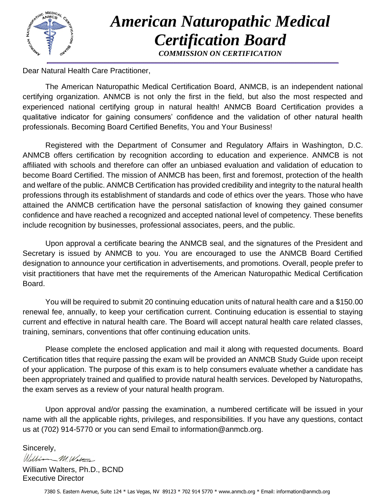

# *American Naturopathic Medical Certification Board*

*COMMISSION ON CERTIFICATION*

Dear Natural Health Care Practitioner,

The American Naturopathic Medical Certification Board, ANMCB, is an independent national certifying organization. ANMCB is not only the first in the field, but also the most respected and experienced national certifying group in natural health! ANMCB Board Certification provides a qualitative indicator for gaining consumers' confidence and the validation of other natural health professionals. Becoming Board Certified Benefits, You and Your Business!

Registered with the Department of Consumer and Regulatory Affairs in Washington, D.C. ANMCB offers certification by recognition according to education and experience. ANMCB is not affiliated with schools and therefore can offer an unbiased evaluation and validation of education to become Board Certified. The mission of ANMCB has been, first and foremost, protection of the health and welfare of the public. ANMCB Certification has provided credibility and integrity to the natural health professions through its establishment of standards and code of ethics over the years. Those who have attained the ANMCB certification have the personal satisfaction of knowing they gained consumer confidence and have reached a recognized and accepted national level of competency. These benefits include recognition by businesses, professional associates, peers, and the public.

Upon approval a certificate bearing the ANMCB seal, and the signatures of the President and Secretary is issued by ANMCB to you. You are encouraged to use the ANMCB Board Certified designation to announce your certification in advertisements, and promotions. Overall, people prefer to visit practitioners that have met the requirements of the American Naturopathic Medical Certification Board.

You will be required to submit 20 continuing education units of natural health care and a \$150.00 renewal fee, annually, to keep your certification current. Continuing education is essential to staying current and effective in natural health care. The Board will accept natural health care related classes, training, seminars, conventions that offer continuing education units.

Please complete the enclosed application and mail it along with requested documents. Board Certification titles that require passing the exam will be provided an ANMCB Study Guide upon receipt of your application. The purpose of this exam is to help consumers evaluate whether a candidate has been appropriately trained and qualified to provide natural health services. Developed by Naturopaths, the exam serves as a review of your natural health program.

Upon approval and/or passing the examination, a numbered certificate will be issued in your name with all the applicable rights, privileges, and responsibilities. If you have any questions, contact us at (702) 914-5770 or you can send Email to information@anmcb.org.

Sincerely, William M. Walter

William Walters, Ph.D., BCND Executive Director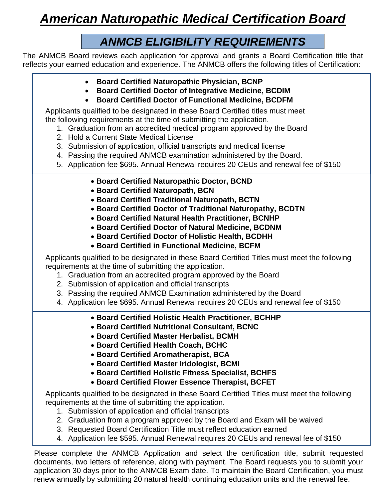## *American Naturopathic Medical Certification Board*

## *ANMCB ELIGIBILITY REQUIREMENTS*

The ANMCB Board reviews each application for approval and grants a Board Certification title that reflects your earned education and experience. The ANMCB offers the following titles of Certification:

- **Board Certified Naturopathic Physician, BCNP**
- **Board Certified Doctor of Integrative Medicine, BCDIM**
- **Board Certified Doctor of Functional Medicine, BCDFM**

Applicants qualified to be designated in these Board Certified titles must meet the following requirements at the time of submitting the application.

- 1. Graduation from an accredited medical program approved by the Board
- 2. Hold a Current State Medical License
- 3. Submission of application, official transcripts and medical license
- 4. Passing the required ANMCB examination administered by the Board.
- 5. Application fee \$695. Annual Renewal requires 20 CEUs and renewal fee of \$150
	- **Board Certified Naturopathic Doctor, BCND**
	- **Board Certified Naturopath, BCN**
	- **Board Certified Traditional Naturopath, BCTN**
	- **Board Certified Doctor of Traditional Naturopathy, BCDTN**
	- **Board Certified Natural Health Practitioner, BCNHP**
	- **Board Certified Doctor of Natural Medicine, BCDNM**
	- **Board Certified Doctor of Holistic Health, BCDHH**
	- **Board Certified in Functional Medicine, BCFM**

Applicants qualified to be designated in these Board Certified Titles must meet the following requirements at the time of submitting the application.

- 1. Graduation from an accredited program approved by the Board
- 2. Submission of application and official transcripts
- 3. Passing the required ANMCB Examination administered by the Board
- 4. Application fee \$695. Annual Renewal requires 20 CEUs and renewal fee of \$150
	- **Board Certified Holistic Health Practitioner, BCHHP**
	- **Board Certified Nutritional Consultant, BCNC**
	- **Board Certified Master Herbalist, BCMH**
	- **Board Certified Health Coach, BCHC**
	- **Board Certified Aromatherapist, BCA**
	- **Board Certified Master Iridologist, BCMI**
	- **Board Certified Holistic Fitness Specialist, BCHFS**
	- **Board Certified Flower Essence Therapist, BCFET**

Applicants qualified to be designated in these Board Certified Titles must meet the following requirements at the time of submitting the application.

- 1. Submission of application and official transcripts
- 2. Graduation from a program approved by the Board and Exam will be waived
- 3. Requested Board Certification Title must reflect education earned
- 4. Application fee \$595. Annual Renewal requires 20 CEUs and renewal fee of \$150

Please complete the ANMCB Application and select the certification title, submit requested documents, two letters of reference, along with payment. The Board requests you to submit your application 30 days prior to the ANMCB Exam date. To maintain the Board Certification, you must renew annually by submitting 20 natural health continuing education units and the renewal fee.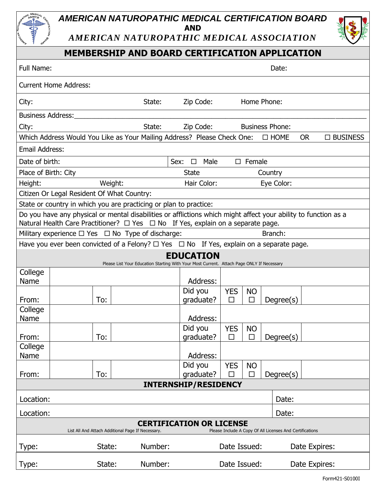## *AMERICAN NATUROPATHIC MEDICAL CERTIFICATION BOARD* **AND**

*AMERICAN NATUROPATHIC MEDICAL ASSOCIATION*

## **MEMBERSHIP AND BOARD CERTIFICATION APPLICATION**

| Full Name:                                                                                                                                                                                                    |                              |         |                                                                         |                                            | Date:                         |            |                        |  |             |           |  |                 |  |
|---------------------------------------------------------------------------------------------------------------------------------------------------------------------------------------------------------------|------------------------------|---------|-------------------------------------------------------------------------|--------------------------------------------|-------------------------------|------------|------------------------|--|-------------|-----------|--|-----------------|--|
|                                                                                                                                                                                                               | <b>Current Home Address:</b> |         |                                                                         |                                            |                               |            |                        |  |             |           |  |                 |  |
| City:                                                                                                                                                                                                         |                              |         | State:                                                                  |                                            | Zip Code:                     |            | Home Phone:            |  |             |           |  |                 |  |
| <b>Business Address:</b>                                                                                                                                                                                      |                              |         |                                                                         |                                            |                               |            |                        |  |             |           |  |                 |  |
| City:                                                                                                                                                                                                         |                              |         | State:                                                                  |                                            | Zip Code:                     |            | <b>Business Phone:</b> |  |             |           |  |                 |  |
|                                                                                                                                                                                                               |                              |         | Which Address Would You Like as Your Mailing Address? Please Check One: |                                            |                               |            |                        |  | $\Box$ HOME | <b>OR</b> |  | $\Box$ BUSINESS |  |
| <b>Email Address:</b>                                                                                                                                                                                         |                              |         |                                                                         |                                            |                               |            |                        |  |             |           |  |                 |  |
| Date of birth:                                                                                                                                                                                                |                              |         |                                                                         | Sex:<br>$\square$ Female<br>$\Box$<br>Male |                               |            |                        |  |             |           |  |                 |  |
| Place of Birth: City                                                                                                                                                                                          |                              |         |                                                                         | <b>State</b><br>Country                    |                               |            |                        |  |             |           |  |                 |  |
| Height:                                                                                                                                                                                                       |                              | Weight: |                                                                         |                                            | Hair Color:                   |            |                        |  | Eye Color:  |           |  |                 |  |
| Citizen Or Legal Resident Of What Country:                                                                                                                                                                    |                              |         |                                                                         |                                            |                               |            |                        |  |             |           |  |                 |  |
|                                                                                                                                                                                                               |                              |         | State or country in which you are practicing or plan to practice:       |                                            |                               |            |                        |  |             |           |  |                 |  |
| Do you have any physical or mental disabilities or afflictions which might affect your ability to function as a<br>Natural Health Care Practitioner? $\Box$ Yes $\Box$ No If Yes, explain on a separate page. |                              |         |                                                                         |                                            |                               |            |                        |  |             |           |  |                 |  |
| Branch:<br>Military experience $\Box$ Yes $\Box$ No Type of discharge:                                                                                                                                        |                              |         |                                                                         |                                            |                               |            |                        |  |             |           |  |                 |  |
| Have you ever been convicted of a Felony? $\Box$ Yes $\Box$ No If Yes, explain on a separate page.                                                                                                            |                              |         |                                                                         |                                            |                               |            |                        |  |             |           |  |                 |  |
| <b>EDUCATION</b><br>Please List Your Education Starting With Your Most Current. Attach Page ONLY If Necessary                                                                                                 |                              |         |                                                                         |                                            |                               |            |                        |  |             |           |  |                 |  |
| College                                                                                                                                                                                                       |                              |         |                                                                         |                                            |                               |            |                        |  |             |           |  |                 |  |
| Name                                                                                                                                                                                                          |                              |         |                                                                         |                                            | Address:                      |            |                        |  |             |           |  |                 |  |
|                                                                                                                                                                                                               |                              |         |                                                                         | Did you                                    |                               | <b>YES</b> | <b>NO</b>              |  |             |           |  |                 |  |
| From:<br>College                                                                                                                                                                                              |                              | To:     |                                                                         |                                            | qraduate?                     | $\Box$     | $\Box$                 |  | Degree(s)   |           |  |                 |  |
| Name                                                                                                                                                                                                          |                              |         |                                                                         |                                            | Address:                      |            |                        |  |             |           |  |                 |  |
|                                                                                                                                                                                                               |                              |         |                                                                         | Did you                                    |                               | <b>YES</b> | <b>NO</b>              |  |             |           |  |                 |  |
| From:                                                                                                                                                                                                         |                              | To:     |                                                                         |                                            | qraduate?                     | $\Box$     | $\Box$                 |  | Degree(s)   |           |  |                 |  |
| College<br>Name                                                                                                                                                                                               |                              |         |                                                                         |                                            | Address:                      |            |                        |  |             |           |  |                 |  |
|                                                                                                                                                                                                               |                              |         |                                                                         | Did you                                    |                               | <b>YES</b> | <b>NO</b>              |  |             |           |  |                 |  |
| From:                                                                                                                                                                                                         |                              | To:     |                                                                         |                                            | graduate?                     |            | $\Box$                 |  | Degree(s)   |           |  |                 |  |
|                                                                                                                                                                                                               |                              |         |                                                                         | <b>INTERNSHIP/RESIDENCY</b>                |                               |            |                        |  |             |           |  |                 |  |
| Location:                                                                                                                                                                                                     |                              |         |                                                                         |                                            |                               |            |                        |  | Date:       |           |  |                 |  |
| Location:                                                                                                                                                                                                     |                              |         |                                                                         |                                            | Date:                         |            |                        |  |             |           |  |                 |  |
| <b>CERTIFICATION OR LICENSE</b><br>List All And Attach Additional Page If Necessary.<br>Please Include A Copy Of All Licenses And Certifications                                                              |                              |         |                                                                         |                                            |                               |            |                        |  |             |           |  |                 |  |
| Type:                                                                                                                                                                                                         |                              | State:  | Number:                                                                 |                                            | Date Issued:<br>Date Expires: |            |                        |  |             |           |  |                 |  |
| Type:                                                                                                                                                                                                         |                              | State:  | Number:                                                                 |                                            | Date Issued:<br>Date Expires: |            |                        |  |             |           |  |                 |  |